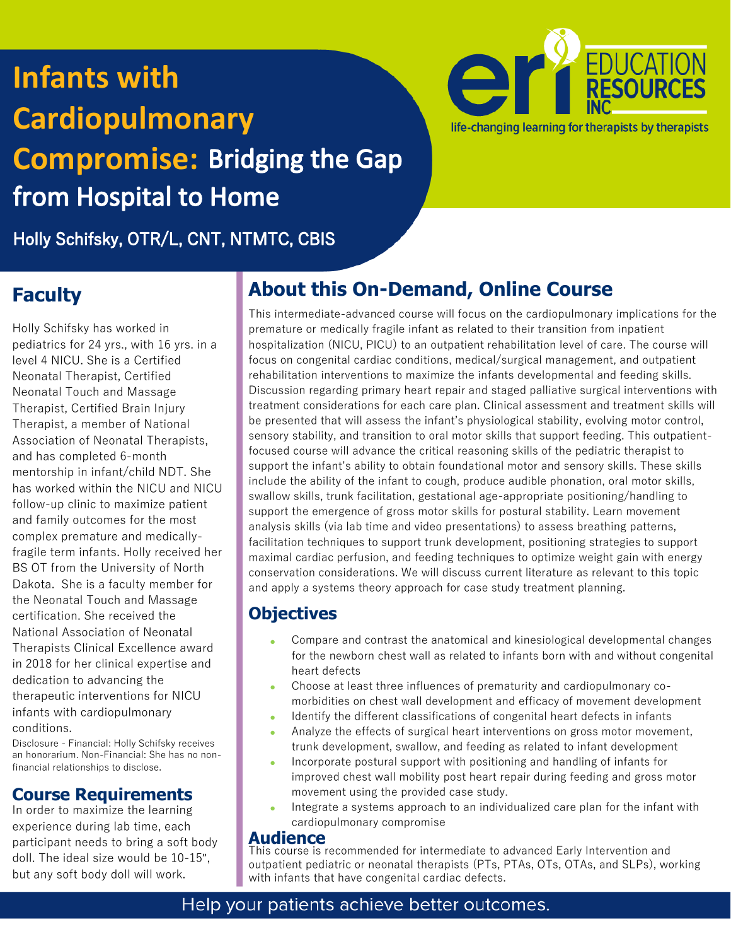# **Infants with Cardiopulmonary Compromise:**from Hospital to Home



Holly Schifsky, OTR/L, CNT, NTMTC, CBIS

## **Faculty**

Holly Schifsky has worked in pediatrics for 24 yrs., with 16 yrs. in a level 4 NICU. She is a Certified Neonatal Therapist, Certified Neonatal Touch and Massage Therapist, Certified Brain Injury Therapist, a member of National Association of Neonatal Therapists, and has completed 6-month mentorship in infant/child NDT. She has worked within the NICU and NICU follow-up clinic to maximize patient and family outcomes for the most complex premature and medicallyfragile term infants. Holly received her BS OT from the University of North Dakota. She is a faculty member for the Neonatal Touch and Massage certification. She received the National Association of Neonatal Therapists Clinical Excellence award in 2018 for her clinical expertise and dedication to advancing the therapeutic interventions for NICU infants with cardiopulmonary conditions.

Disclosure - Financial: Holly Schifsky receives an honorarium. Non-Financial: She has no nonfinancial relationships to disclose.

### **Course Requirements**

In order to maximize the learning experience during lab time, each participant needs to bring a soft body doll. The ideal size would be 10-15", but any soft body doll will work.

# **About this On-Demand, Online Course**

This intermediate-advanced course will focus on the cardiopulmonary implications for the premature or medically fragile infant as related to their transition from inpatient hospitalization (NICU, PICU) to an outpatient rehabilitation level of care. The course will focus on congenital cardiac conditions, medical/surgical management, and outpatient rehabilitation interventions to maximize the infants developmental and feeding skills. Discussion regarding primary heart repair and staged palliative surgical interventions with treatment considerations for each care plan. Clinical assessment and treatment skills will be presented that will assess the infant's physiological stability, evolving motor control, sensory stability, and transition to oral motor skills that support feeding. This outpatientfocused course will advance the critical reasoning skills of the pediatric therapist to support the infant's ability to obtain foundational motor and sensory skills. These skills include the ability of the infant to cough, produce audible phonation, oral motor skills, swallow skills, trunk facilitation, gestational age-appropriate positioning/handling to support the emergence of gross motor skills for postural stability. Learn movement analysis skills (via lab time and video presentations) to assess breathing patterns, facilitation techniques to support trunk development, positioning strategies to support maximal cardiac perfusion, and feeding techniques to optimize weight gain with energy conservation considerations. We will discuss current literature as relevant to this topic and apply a systems theory approach for case study treatment planning.

### **Objectives**

- Compare and contrast the anatomical and kinesiological developmental changes for the newborn chest wall as related to infants born with and without congenital heart defects
- Choose at least three influences of prematurity and cardiopulmonary comorbidities on chest wall development and efficacy of movement development
- Identify the different classifications of congenital heart defects in infants
- Analyze the effects of surgical heart interventions on gross motor movement, trunk development, swallow, and feeding as related to infant development
- Incorporate postural support with positioning and handling of infants for improved chest wall mobility post heart repair during feeding and gross motor movement using the provided case study.
- Integrate a systems approach to an individualized care plan for the infant with cardiopulmonary compromise

### **Audience**

This course is recommended for intermediate to advanced Early Intervention and outpatient pediatric or neonatal therapists (PTs, PTAs, OTs, OTAs, and SLPs), working with infants that have congenital cardiac defects.